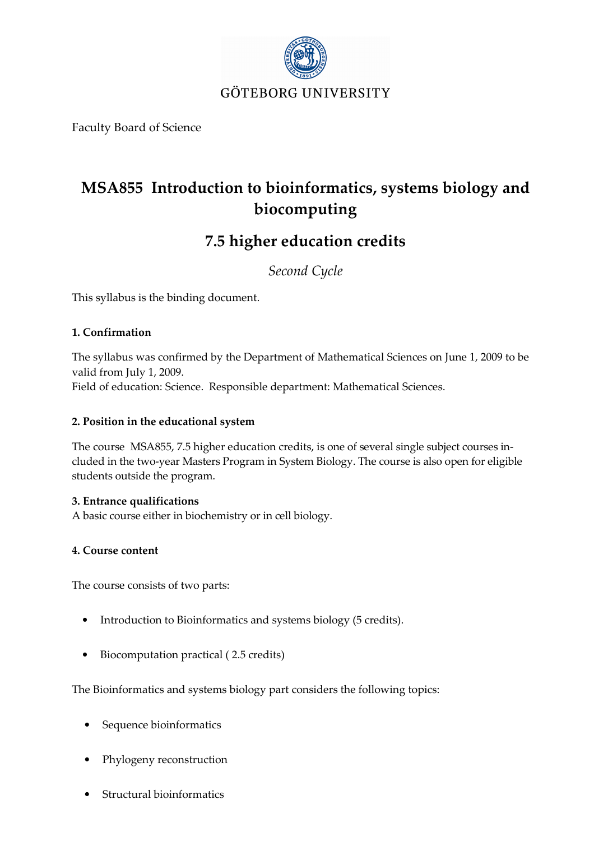

Faculty Board of Science

# MSA855 Introduction to bioinformatics, systems biology and biocomputing

## 7.5 higher education credits

Second Cycle

This syllabus is the binding document.

## 1. Confirmation

The syllabus was confirmed by the Department of Mathematical Sciences on June 1, 2009 to be valid from July 1, 2009.

Field of education: Science. Responsible department: Mathematical Sciences.

## 2. Position in the educational system

The course MSA855, 7.5 higher education credits, is one of several single subject courses included in the two-year Masters Program in System Biology. The course is also open for eligible students outside the program.

## 3. Entrance qualifications

A basic course either in biochemistry or in cell biology.

## 4. Course content

The course consists of two parts:

- Introduction to Bioinformatics and systems biology (5 credits).
- Biocomputation practical ( 2.5 credits)

The Bioinformatics and systems biology part considers the following topics:

- Sequence bioinformatics
- Phylogeny reconstruction
- Structural bioinformatics